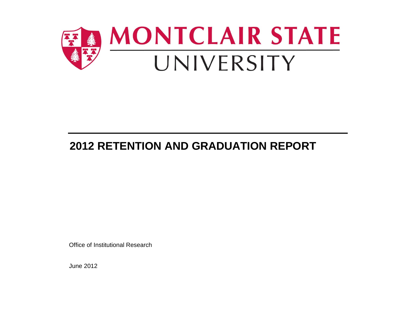

# **2012 RETENTION AND GRADUATION REPORT**

Office of Institutional Research

June 2012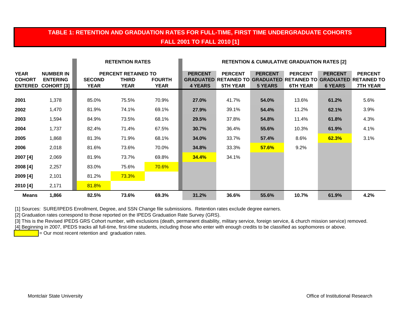## **TABLE 1: RETENTION AND GRADUATION RATES FOR FULL-TIME, FIRST TIME UNDERGRADUATE COHORTS FALL 2001 TO FALL 2010 [1]**

|                                                |                                                          |                       | <b>RETENTION RATES</b>                             |                              | <b>RETENTION &amp; CUMULATIVE GRADUATION RATES [2]</b> |                                   |                                  |                                   |                                  |                                                                                                               |
|------------------------------------------------|----------------------------------------------------------|-----------------------|----------------------------------------------------|------------------------------|--------------------------------------------------------|-----------------------------------|----------------------------------|-----------------------------------|----------------------------------|---------------------------------------------------------------------------------------------------------------|
| <b>YEAR</b><br><b>COHORT</b><br><b>ENTERED</b> | <b>NUMBER IN</b><br><b>ENTERING</b><br><b>COHORT [3]</b> | <b>SECOND</b><br>YEAR | <b>PERCENT RETAINED TO</b><br>THIRD<br><b>YEAR</b> | <b>FOURTH</b><br><b>YEAR</b> | <b>PERCENT</b><br>4 YEARS                              | <b>PERCENT</b><br><b>5TH YEAR</b> | <b>PERCENT</b><br><b>5 YEARS</b> | <b>PERCENT</b><br><b>6TH YEAR</b> | <b>PERCENT</b><br><b>6 YEARS</b> | <b>PERCENT</b><br><b>GRADUATED RETAINED TO GRADUATED RETAINED TO GRADUATED RETAINED TO</b><br><b>7TH YEAR</b> |
| 2001                                           | 1,378                                                    | 85.0%                 | 75.5%                                              | 70.9%                        | 27.0%                                                  | 41.7%                             | 54.0%                            | 13.6%                             | 61.2%                            | 5.6%                                                                                                          |
| 2002                                           | 1,470                                                    | 81.9%                 | 74.1%                                              | 69.1%                        | 27.9%                                                  | 39.1%                             | 54.4%                            | 11.2%                             | 62.1%                            | 3.9%                                                                                                          |
| 2003                                           | 1,594                                                    | 84.9%                 | 73.5%                                              | 68.1%                        | 29.5%                                                  | 37.8%                             | 54.8%                            | 11.4%                             | 61.8%                            | 4.3%                                                                                                          |
| 2004                                           | 1,737                                                    | 82.4%                 | 71.4%                                              | 67.5%                        | 30.7%                                                  | 36.4%                             | 55.6%                            | 10.3%                             | 61.9%                            | 4.1%                                                                                                          |
| 2005                                           | 1,868                                                    | 81.3%                 | 71.9%                                              | 68.1%                        | 34.0%                                                  | 33.7%                             | 57.4%                            | 8.6%                              | 62.3%                            | 3.1%                                                                                                          |
| 2006                                           | 2,018                                                    | 81.6%                 | 73.6%                                              | 70.0%                        | 34.8%                                                  | 33.3%                             | <b>57.6%</b>                     | 9.2%                              |                                  |                                                                                                               |
| 2007 [4]                                       | 2,069                                                    | 81.9%                 | 73.7%                                              | 69.8%                        | 34.4%                                                  | 34.1%                             |                                  |                                   |                                  |                                                                                                               |
| 2008 [4]                                       | 2,257                                                    | 83.0%                 | 75.6%                                              | 70.6%                        |                                                        |                                   |                                  |                                   |                                  |                                                                                                               |
| 2009 [4]                                       | 2,101                                                    | 81.2%                 | 73.3%                                              |                              |                                                        |                                   |                                  |                                   |                                  |                                                                                                               |
| 2010 [4]                                       | 2,171                                                    | 81.8%                 |                                                    |                              |                                                        |                                   |                                  |                                   |                                  |                                                                                                               |
| <b>Means</b>                                   | 1,866                                                    | 82.5%                 | 73.6%                                              | 69.3%                        | 31.2%                                                  | 36.6%                             | 55.6%                            | 10.7%                             | 61.9%                            | 4.2%                                                                                                          |

[1] Sources: SURE/IPEDS Enrollment, Degree, and SSN Change file submissions. Retention rates exclude degree earners.

[2] Graduation rates correspond to those reported on the IPEDS Graduation Rate Survey (GRS).

[3] This is the Revised IPEDS GRS Cohort number, with exclusions (death, permanent disability, military service, foreign service, & church mission service) removed.

[4] Beginning in 2007, IPEDS tracks all full-time, first-time students, including those who enter with enough credits to be classified as sophomores or above.

 $\overline{P}$  = Our most recent retention and graduation rates.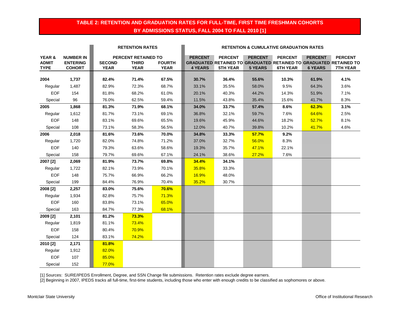### **TABLE 2: RETENTION AND GRADUATION RATES FOR FULL-TIME, FIRST TIME FRESHMAN COHORTS BY ADMISSIONS STATUS, FALL 2004 TO FALL 2010 [1]**

|              |                  | <b>RETENTION RATES</b> |                     | <b>RETENTION &amp; CUMULATIVE GRADUATION RATES</b> |                |                                                                   |                |                 |                |                 |
|--------------|------------------|------------------------|---------------------|----------------------------------------------------|----------------|-------------------------------------------------------------------|----------------|-----------------|----------------|-----------------|
| YEAR &       | <b>NUMBER IN</b> |                        | PERCENT RETAINED TO |                                                    | <b>PERCENT</b> | <b>PERCENT</b>                                                    | <b>PERCENT</b> | <b>PERCENT</b>  | <b>PERCENT</b> | <b>PERCENT</b>  |
| <b>ADMIT</b> | <b>ENTERING</b>  | <b>SECOND</b>          | <b>THIRD</b>        | <b>FOURTH</b>                                      |                | GRADUATED RETAINED TO GRADUATED RETAINED TO GRADUATED RETAINED TO |                |                 |                |                 |
| <b>TYPE</b>  | <b>COHORT</b>    | <b>YEAR</b>            | <b>YEAR</b>         | <b>YEAR</b>                                        | <b>4 YEARS</b> | <b>5TH YEAR</b>                                                   | <b>5 YEARS</b> | <b>6TH YEAR</b> | <b>6 YEARS</b> | <b>7TH YEAR</b> |
| 2004         | 1,737            | 82.4%                  | 71.4%               | 67.5%                                              | 30.7%          | 36.4%                                                             | 55.6%          | 10.3%           | 61.9%          | 4.1%            |
| Regular      | 1,487            | 82.9%                  | 72.3%               | 68.7%                                              | 33.1%          | 35.5%                                                             | 58.0%          | 9.5%            | 64.3%          | 3.6%            |
| <b>EOF</b>   | 154              | 81.8%                  | 68.2%               | 61.0%                                              | 20.1%          | 40.3%                                                             | 44.2%          | 14.3%           | 51.9%          | 7.1%            |
| Special      | 96               | 76.0%                  | 62.5%               | 59.4%                                              | 11.5%          | 43.8%                                                             | 35.4%          | 15.6%           | 41.7%          | 8.3%            |
| 2005         | 1,868            | 81.3%                  | 71.9%               | 68.1%                                              | 34.0%          | 33.7%                                                             | 57.4%          | 8.6%            | 62.3%          | 3.1%            |
| Regular      | 1,612            | 81.7%                  | 73.1%               | 69.1%                                              | 36.8%          | 32.1%                                                             | 59.7%          | 7.6%            | 64.6%          | 2.5%            |
| <b>EOF</b>   | 148              | 83.1%                  | 69.6%               | 65.5%                                              | 19.6%          | 45.9%                                                             | 44.6%          | 18.2%           | 52.7%          | 8.1%            |
| Special      | 108              | 73.1%                  | 58.3%               | 56.5%                                              | 12.0%          | 40.7%                                                             | 39.8%          | 10.2%           | 41.7%          | 4.6%            |
| 2006         | 2,018            | 81.6%                  | 73.6%               | 70.0%                                              | 34.8%          | 33.3%                                                             | 57.7%          | 9.2%            |                |                 |
| Regular      | 1,720            | 82.0%                  | 74.8%               | 71.2%                                              | 37.0%          | 32.7%                                                             | 56.0%          | 8.3%            |                |                 |
| <b>EOF</b>   | 140              | 79.3%                  | 63.6%               | 58.6%                                              | 19.3%          | 35.7%                                                             | 47.1%          | 22.1%           |                |                 |
| Special      | 158              | 79.7%                  | 69.6%               | 67.1%                                              | 24.1%          | 38.6%                                                             | 27.2%          | 7.6%            |                |                 |
| 2007 [2]     | 2,069            | 81.9%                  | 73.7%               | 69.8%                                              | 34.4%          | 34.1%                                                             |                |                 |                |                 |
| Regular      | 1,722            | 82.1%                  | 73.9%               | 70.1%                                              | 35.8%          | 33.3%                                                             |                |                 |                |                 |
| EOF          | 148              | 75.7%                  | 66.9%               | 66.2%                                              | 16.9%          | 48.0%                                                             |                |                 |                |                 |
| Special      | 199              | 84.4%                  | 76.9%               | 70.4%                                              | 35.2%          | 30.7%                                                             |                |                 |                |                 |
| 2008 [2]     | 2,257            | 83.0%                  | 75.6%               | 70.6%                                              |                |                                                                   |                |                 |                |                 |
| Regular      | 1,934            | 82.8%                  | 75.7%               | 71.3%                                              |                |                                                                   |                |                 |                |                 |
| <b>EOF</b>   | 160              | 83.8%                  | 73.1%               | 65.0%                                              |                |                                                                   |                |                 |                |                 |
| Special      | 163              | 84.7%                  | 77.3%               | 68.1%                                              |                |                                                                   |                |                 |                |                 |
| 2009 [2]     | 2,101            | 81.2%                  | 73.3%               |                                                    |                |                                                                   |                |                 |                |                 |
| Regular      | 1,819            | 81.1%                  | 73.4%               |                                                    |                |                                                                   |                |                 |                |                 |
| <b>EOF</b>   | 158              | 80.4%                  | 70.9%               |                                                    |                |                                                                   |                |                 |                |                 |
| Special      | 124              | 83.1%                  | 74.2%               |                                                    |                |                                                                   |                |                 |                |                 |
| 2010 [2]     | 2,171            | 81.8%                  |                     |                                                    |                |                                                                   |                |                 |                |                 |
| Regular      | 1,912            | 82.0%                  |                     |                                                    |                |                                                                   |                |                 |                |                 |
| EOF          | 107              | 85.0%                  |                     |                                                    |                |                                                                   |                |                 |                |                 |
| Special      | 152              | 77.0%                  |                     |                                                    |                |                                                                   |                |                 |                |                 |

[1] Sources: SURE/IPEDS Enrollment, Degree, and SSN Change file submissions. Retention rates exclude degree earners.

[2] Beginning in 2007, IPEDS tracks all full-time, first-time students, including those who enter with enough credits to be classified as sophomores or above.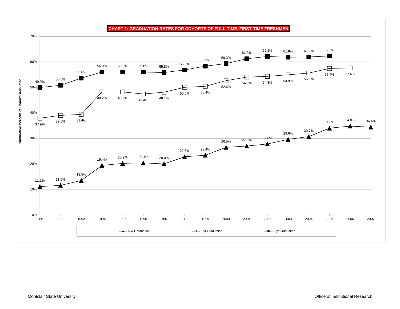

**CHART 1: GRADUATION RATES FOR COHORTS OF FULL-TIME, FIRST-TIME FRESHMEN**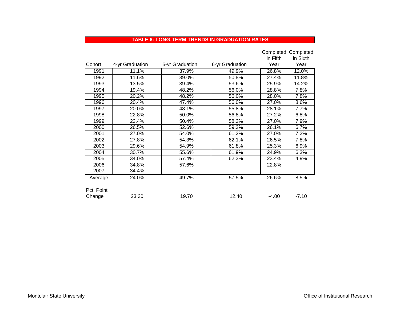#### **TABLE 6: LONG-TERM TRENDS IN GRADUATION RATES**

|            |                 |                 |                 |          | Completed Completed |
|------------|-----------------|-----------------|-----------------|----------|---------------------|
|            |                 |                 |                 | in Fifth | in Sixth            |
| Cohort     | 4-yr Graduation | 5-yr Graduation | 6-yr Graduation | Year     | Year                |
| 1991       | 11.1%           | 37.9%           | 49.9%           | 26.8%    | 12.0%               |
| 1992       | 11.6%           | 39.0%           | 50.8%           | 27.4%    | 11.8%               |
| 1993       | 13.5%           | 39.4%           | 53.6%           | 25.9%    | 14.2%               |
| 1994       | 19.4%           | 48.2%           | 56.0%           | 28.8%    | 7.8%                |
| 1995       | 20.2%           | 48.2%           | 56.0%           | 28.0%    | 7.8%                |
| 1996       | 20.4%           | 47.4%           | 56.0%           | 27.0%    | 8.6%                |
| 1997       | 20.0%           | 48.1%           | 55.8%           | 28.1%    | 7.7%                |
| 1998       | 22.8%           | 50.0%           | 56.8%           | 27.2%    | 6.8%                |
| 1999       | 23.4%           | 50.4%           | 58.3%           | 27.0%    | 7.9%                |
| 2000       | 26.5%           | 52.6%           | 59.3%           | 26.1%    | 6.7%                |
| 2001       | 27.0%           | 54.0%           | 61.2%           | 27.0%    | 7.2%                |
| 2002       | 27.8%           | 54.3%           | 62.1%           | 26.5%    | 7.8%                |
| 2003       | 29.6%           | 54.9%           | 61.8%           | 25.3%    | 6.9%                |
| 2004       | 30.7%           | 55.6%           | 61.9%           | 24.9%    | 6.3%                |
| 2005       | 34.0%           | 57.4%           | 62.3%           | 23.4%    | 4.9%                |
| 2006       | 34.8%           | 57.6%           |                 | 22.8%    |                     |
| 2007       | 34.4%           |                 |                 |          |                     |
| Average    | 24.0%           | 49.7%           | 57.5%           | 26.6%    | 8.5%                |
|            |                 |                 |                 |          |                     |
| Pct. Point |                 |                 |                 |          |                     |
| Change     | 23.30           | 19.70           | 12.40           | $-4.00$  | $-7.10$             |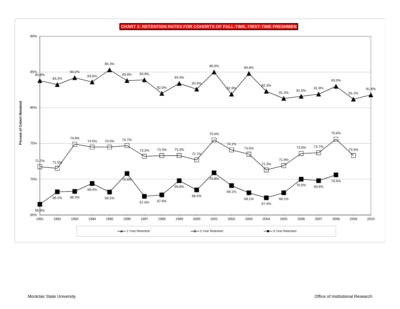**CHART 2: RETENTION RATES FOR COHORTS OF FULL-TIME, FIRST-TIME FRESHMEN**

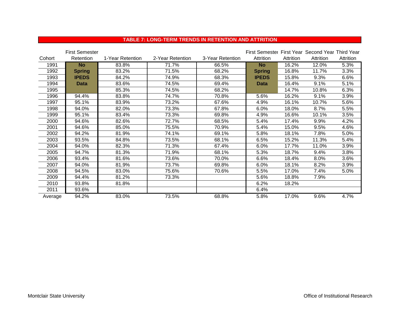|  |  | <b>TABLE 7: LONG-TERM TRENDS IN RETENTION AND ATTRITION</b> |
|--|--|-------------------------------------------------------------|
|  |  |                                                             |

|         | <b>First Semester</b> |                  |                  |                  | First Semester First Year Second Year Third Year |           |           |           |
|---------|-----------------------|------------------|------------------|------------------|--------------------------------------------------|-----------|-----------|-----------|
| Cohort  | Retention             | 1-Year Retention | 2-Year Retention | 3-Year Retention | Attrition                                        | Attrition | Attrition | Attrition |
| 1991    | <b>No</b>             | 83.8%            | 71.7%            | 66.5%            | <b>No</b>                                        | 16.2%     | 12.0%     | 5.3%      |
| 1992    | <b>Spring</b>         | 83.2%            | 71.5%            | 68.2%            | <b>Spring</b>                                    | 16.8%     | 11.7%     | 3.3%      |
| 1993    | <b>IPEDS</b>          | 84.2%            | 74.9%            | 68.3%            | <b>IPEDS</b>                                     | 15.8%     | 9.3%      | 6.6%      |
| 1994    | <b>Data</b>           | 83.6%            | 74.5%            | 69.4%            | <b>Data</b>                                      | 16.4%     | 9.1%      | 5.1%      |
| 1995    |                       | 85.3%            | 74.5%            | 68.2%            |                                                  | 14.7%     | 10.8%     | 6.3%      |
| 1996    | 94.4%                 | 83.8%            | 74.7%            | 70.8%            | 5.6%                                             | 16.2%     | 9.1%      | 3.9%      |
| 1997    | 95.1%                 | 83.9%            | 73.2%            | 67.6%            | 4.9%                                             | 16.1%     | 10.7%     | 5.6%      |
| 1998    | 94.0%                 | 82.0%            | 73.3%            | 67.8%            | 6.0%                                             | 18.0%     | 8.7%      | 5.5%      |
| 1999    | 95.1%                 | 83.4%            | 73.3%            | 69.8%            | 4.9%                                             | 16.6%     | 10.1%     | 3.5%      |
| 2000    | 94.6%                 | 82.6%            | 72.7%            | 68.5%            | 5.4%                                             | 17.4%     | 9.9%      | 4.2%      |
| 2001    | 94.6%                 | 85.0%            | 75.5%            | 70.9%            | 5.4%                                             | 15.0%     | 9.5%      | 4.6%      |
| 2002    | 94.2%                 | 81.9%            | 74.1%            | 69.1%            | 5.8%                                             | 18.1%     | 7.8%      | 5.0%      |
| 2003    | 93.5%                 | 84.8%            | 73.5%            | 68.1%            | 6.5%                                             | 15.2%     | 11.3%     | 5.4%      |
| 2004    | 94.0%                 | 82.3%            | 71.3%            | 67.4%            | 6.0%                                             | 17.7%     | 11.0%     | 3.9%      |
| 2005    | 94.7%                 | 81.3%            | 71.9%            | 68.1%            | 5.3%                                             | 18.7%     | 9.4%      | 3.8%      |
| 2006    | 93.4%                 | 81.6%            | 73.6%            | 70.0%            | 6.6%                                             | 18.4%     | 8.0%      | 3.6%      |
| 2007    | 94.0%                 | 81.9%            | 73.7%            | 69.8%            | 6.0%                                             | 18.1%     | 8.2%      | 3.9%      |
| 2008    | 94.5%                 | 83.0%            | 75.6%            | 70.6%            | 5.5%                                             | 17.0%     | 7.4%      | 5.0%      |
| 2009    | 94.4%                 | 81.2%            | 73.3%            |                  | 5.6%                                             | 18.8%     | 7.9%      |           |
| 2010    | 93.8%                 | 81.8%            |                  |                  | 6.2%                                             | 18.2%     |           |           |
| 2011    | 93.6%                 |                  |                  |                  | 6.4%                                             |           |           |           |
| Average | 94.2%                 | 83.0%            | 73.5%            | 68.8%            | 5.8%                                             | 17.0%     | 9.6%      | 4.7%      |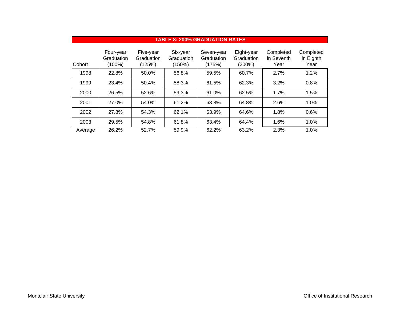| <b>TABLE 8: 200% GRADUATION RATES</b> |                                      |                                   |                                  |                                    |                                    |                                 |                                |  |  |
|---------------------------------------|--------------------------------------|-----------------------------------|----------------------------------|------------------------------------|------------------------------------|---------------------------------|--------------------------------|--|--|
| Cohort                                | Four-year<br>Graduation<br>$(100\%)$ | Five-year<br>Graduation<br>(125%) | Six-year<br>Graduation<br>(150%) | Seven-year<br>Graduation<br>(175%) | Eight-year<br>Graduation<br>(200%) | Completed<br>in Seventh<br>Year | Completed<br>in Eighth<br>Year |  |  |
| 1998                                  | 22.8%                                | 50.0%                             | 56.8%                            | 59.5%                              | 60.7%                              | 2.7%                            | 1.2%                           |  |  |
| 1999                                  | 23.4%                                | 50.4%                             | 58.3%                            | 61.5%                              | 62.3%                              | 3.2%                            | 0.8%                           |  |  |
| 2000                                  | 26.5%                                | 52.6%                             | 59.3%                            | 61.0%                              | 62.5%                              | 1.7%                            | 1.5%                           |  |  |
| 2001                                  | 27.0%                                | 54.0%                             | 61.2%                            | 63.8%                              | 64.8%                              | 2.6%                            | 1.0%                           |  |  |
| 2002                                  | 27.8%                                | 54.3%                             | 62.1%                            | 63.9%                              | 64.6%                              | 1.8%                            | 0.6%                           |  |  |
| 2003                                  | 29.5%                                | 54.8%                             | 61.8%                            | 63.4%                              | 64.4%                              | 1.6%                            | 1.0%                           |  |  |
| Average                               | 26.2%                                | 52.7%                             | 59.9%                            | 62.2%                              | 63.2%                              | 2.3%                            | 1.0%                           |  |  |